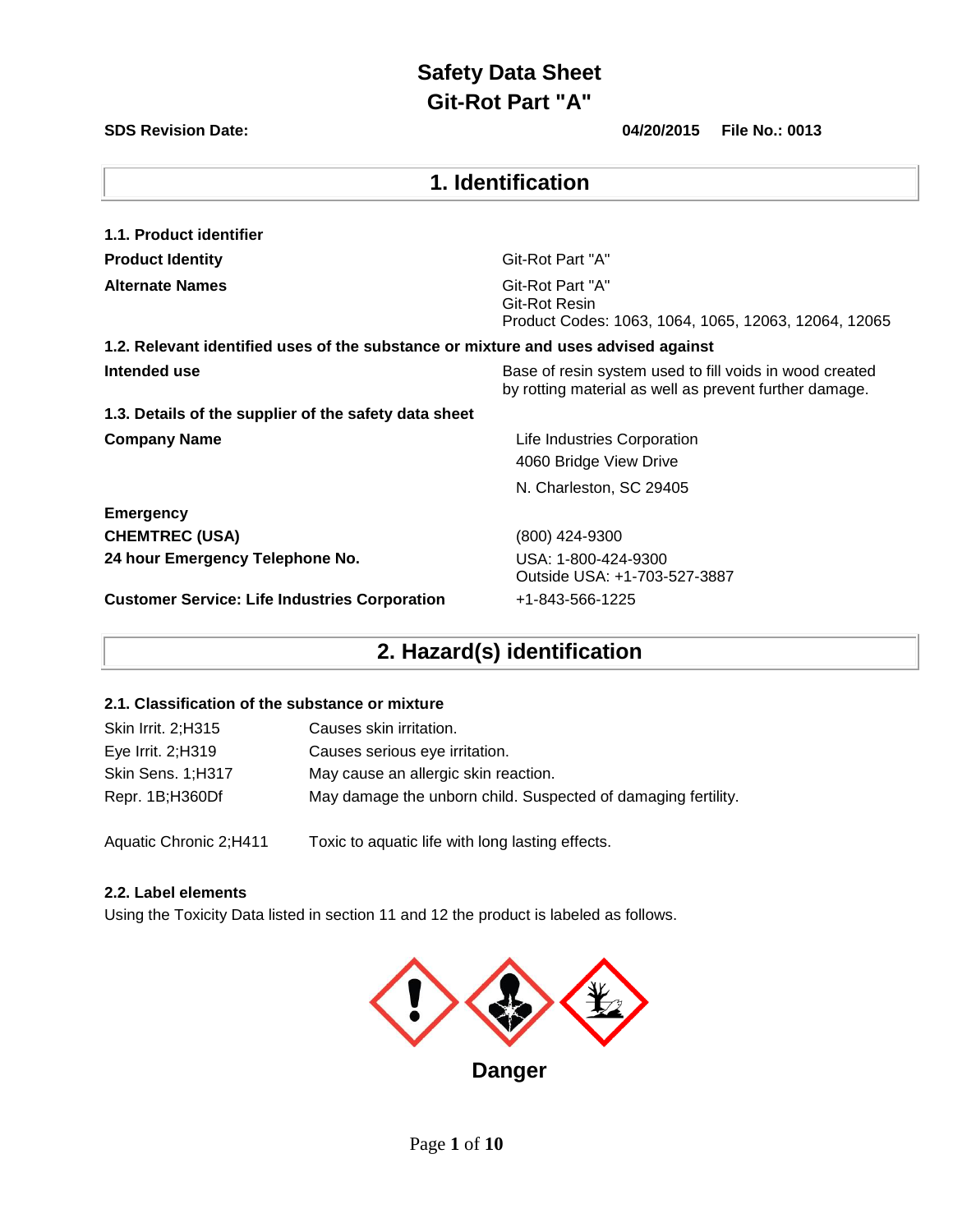### **SDS Revision Date: 04/20/2015 File No.: 0013**

| 1. Identification                                                                                                                 |                                                                                           |  |  |  |
|-----------------------------------------------------------------------------------------------------------------------------------|-------------------------------------------------------------------------------------------|--|--|--|
| 1.1. Product identifier                                                                                                           |                                                                                           |  |  |  |
| <b>Product Identity</b>                                                                                                           | Git-Rot Part "A"                                                                          |  |  |  |
| <b>Alternate Names</b>                                                                                                            | Git-Rot Part "A"<br>Git-Rot Resin<br>Product Codes: 1063, 1064, 1065, 12063, 12064, 12065 |  |  |  |
| 1.2. Relevant identified uses of the substance or mixture and uses advised against                                                |                                                                                           |  |  |  |
| Intended use<br>Base of resin system used to fill voids in wood created<br>by rotting material as well as prevent further damage. |                                                                                           |  |  |  |
| 1.3. Details of the supplier of the safety data sheet                                                                             |                                                                                           |  |  |  |
| <b>Company Name</b>                                                                                                               | Life Industries Corporation<br>4060 Bridge View Drive                                     |  |  |  |
|                                                                                                                                   | N. Charleston, SC 29405                                                                   |  |  |  |
| <b>Emergency</b>                                                                                                                  |                                                                                           |  |  |  |
| <b>CHEMTREC (USA)</b>                                                                                                             | (800) 424-9300                                                                            |  |  |  |
| 24 hour Emergency Telephone No.                                                                                                   | USA: 1-800-424-9300<br>Outside USA: +1-703-527-3887                                       |  |  |  |
| <b>Customer Service: Life Industries Corporation</b>                                                                              | +1-843-566-1225                                                                           |  |  |  |

## **2. Hazard(s) identification**

### **2.1. Classification of the substance or mixture**

| Skin Irrit. 2; H315 | Causes skin irritation.                                       |
|---------------------|---------------------------------------------------------------|
| Eye Irrit. 2; H319  | Causes serious eye irritation.                                |
| Skin Sens. 1;H317   | May cause an allergic skin reaction.                          |
| Repr. 1B;H360Df     | May damage the unborn child. Suspected of damaging fertility. |
|                     |                                                               |

Aquatic Chronic 2;H411 Toxic to aquatic life with long lasting effects.

#### **2.2. Label elements**

Using the Toxicity Data listed in section 11 and 12 the product is labeled as follows.

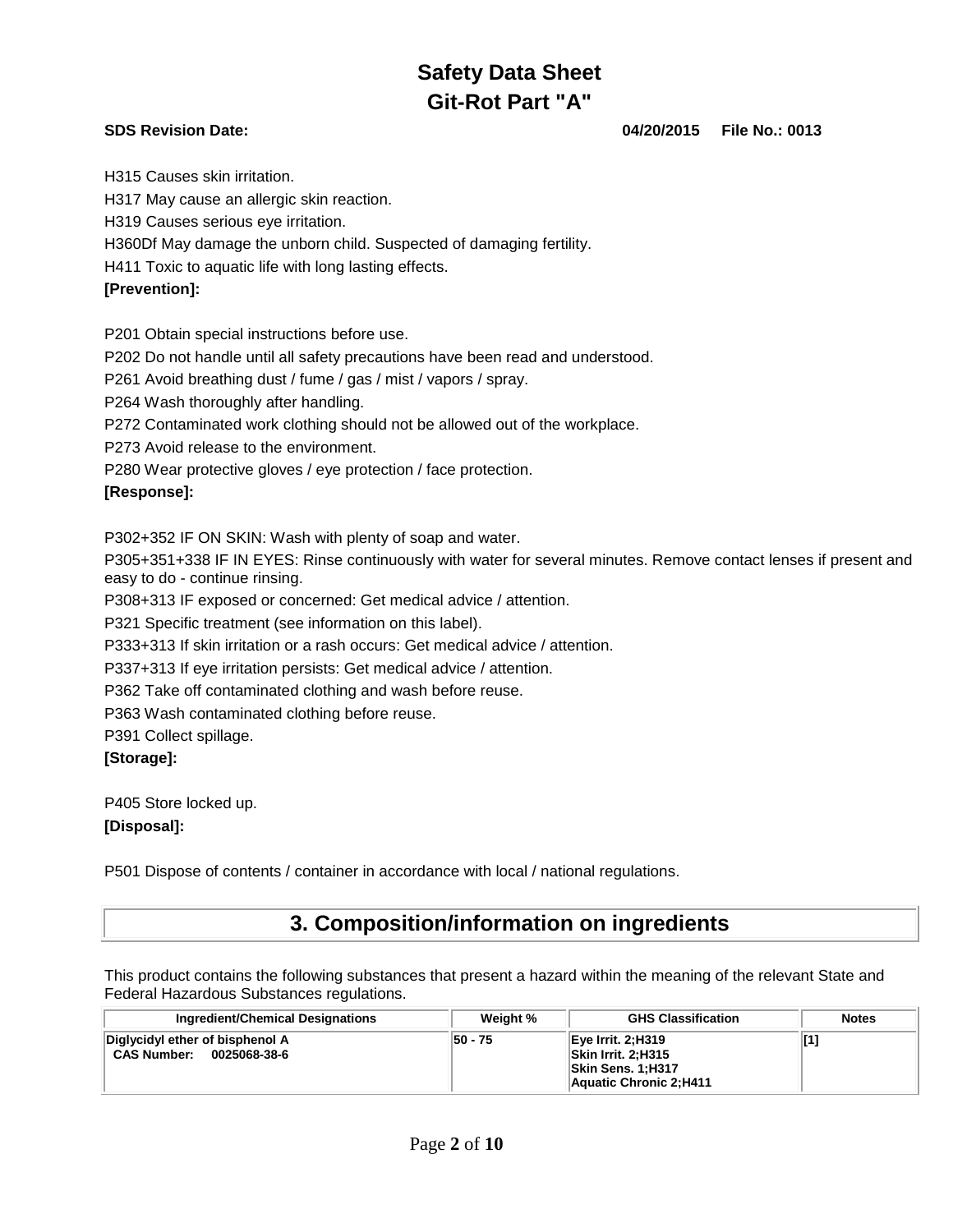**SDS Revision Date: 04/20/2015 File No.: 0013**

H315 Causes skin irritation.

H317 May cause an allergic skin reaction.

H319 Causes serious eye irritation.

H360Df May damage the unborn child. Suspected of damaging fertility.

H411 Toxic to aquatic life with long lasting effects.

### **[Prevention]:**

P201 Obtain special instructions before use.

P202 Do not handle until all safety precautions have been read and understood.

P261 Avoid breathing dust / fume / gas / mist / vapors / spray.

P264 Wash thoroughly after handling.

P272 Contaminated work clothing should not be allowed out of the workplace.

P273 Avoid release to the environment.

P280 Wear protective gloves / eye protection / face protection.

### **[Response]:**

P302+352 IF ON SKIN: Wash with plenty of soap and water.

P305+351+338 IF IN EYES: Rinse continuously with water for several minutes. Remove contact lenses if present and easy to do - continue rinsing.

P308+313 IF exposed or concerned: Get medical advice / attention.

P321 Specific treatment (see information on this label).

P333+313 If skin irritation or a rash occurs: Get medical advice / attention.

P337+313 If eye irritation persists: Get medical advice / attention.

P362 Take off contaminated clothing and wash before reuse.

P363 Wash contaminated clothing before reuse.

P391 Collect spillage.

### **[Storage]:**

P405 Store locked up.

### **[Disposal]:**

P501 Dispose of contents / container in accordance with local / national regulations.

## **3. Composition/information on ingredients**

This product contains the following substances that present a hazard within the meaning of the relevant State and Federal Hazardous Substances regulations.

| <b>Ingredient/Chemical Designations</b>                               | Weight % | <b>GHS Classification</b>                                                                  | <b>Notes</b> |
|-----------------------------------------------------------------------|----------|--------------------------------------------------------------------------------------------|--------------|
| Diglycidyl ether of bisphenol A<br><b>CAS Number:</b><br>0025068-38-6 | 50 - 75  | $Eve$ Irrit. 2; H319<br>Skin Irrit. 2:H315<br>Skin Sens. 1;H317<br>Aquatic Chronic 2; H411 |              |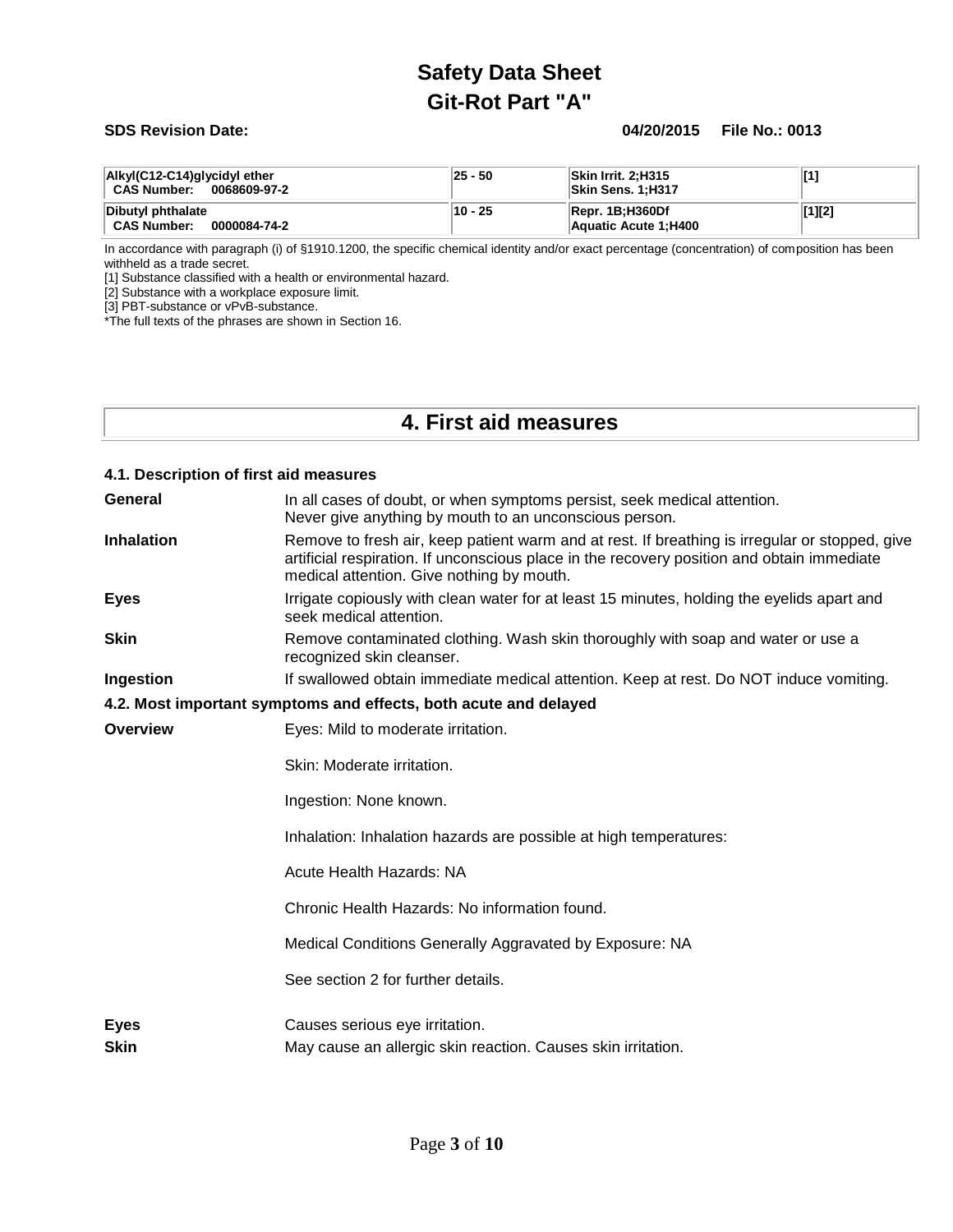#### **SDS Revision Date: 04/20/2015 File No.: 0013**

| Alkyl(C12-C14)glycidyl ether<br><b>CAS Number:</b><br>0068609-97-2 | 25 - 50 | Skin Irrit. 2:H315<br><b>Skin Sens. 1:H317</b> |        |
|--------------------------------------------------------------------|---------|------------------------------------------------|--------|
| Dibutyl phthalate<br><b>CAS Number:</b><br>0000084-74-2            | 10 - 25 | Repr. 1B:H360Df<br>Aquatic Acute 1; H400       | [1][2] |

In accordance with paragraph (i) of §1910.1200, the specific chemical identity and/or exact percentage (concentration) of composition has been withheld as a trade secret.

[1] Substance classified with a health or environmental hazard.

[2] Substance with a workplace exposure limit.

[3] PBT-substance or vPvB-substance.

\*The full texts of the phrases are shown in Section 16.

## **4. First aid measures**

| 4.1. Description of first aid measures |                                                                                                                                                                                                                                           |
|----------------------------------------|-------------------------------------------------------------------------------------------------------------------------------------------------------------------------------------------------------------------------------------------|
| General                                | In all cases of doubt, or when symptoms persist, seek medical attention.<br>Never give anything by mouth to an unconscious person.                                                                                                        |
| <b>Inhalation</b>                      | Remove to fresh air, keep patient warm and at rest. If breathing is irregular or stopped, give<br>artificial respiration. If unconscious place in the recovery position and obtain immediate<br>medical attention. Give nothing by mouth. |
| <b>Eyes</b>                            | Irrigate copiously with clean water for at least 15 minutes, holding the eyelids apart and<br>seek medical attention.                                                                                                                     |
| <b>Skin</b>                            | Remove contaminated clothing. Wash skin thoroughly with soap and water or use a<br>recognized skin cleanser.                                                                                                                              |
| Ingestion                              | If swallowed obtain immediate medical attention. Keep at rest. Do NOT induce vomiting.                                                                                                                                                    |
|                                        | 4.2. Most important symptoms and effects, both acute and delayed                                                                                                                                                                          |
| Overview                               | Eyes: Mild to moderate irritation.                                                                                                                                                                                                        |
|                                        | Skin: Moderate irritation.                                                                                                                                                                                                                |
|                                        | Ingestion: None known.                                                                                                                                                                                                                    |
|                                        | Inhalation: Inhalation hazards are possible at high temperatures:                                                                                                                                                                         |
|                                        | Acute Health Hazards: NA                                                                                                                                                                                                                  |
|                                        | Chronic Health Hazards: No information found.                                                                                                                                                                                             |
|                                        | Medical Conditions Generally Aggravated by Exposure: NA                                                                                                                                                                                   |
|                                        | See section 2 for further details.                                                                                                                                                                                                        |
| <b>Eyes</b><br><b>Skin</b>             | Causes serious eye irritation.<br>May cause an allergic skin reaction. Causes skin irritation.                                                                                                                                            |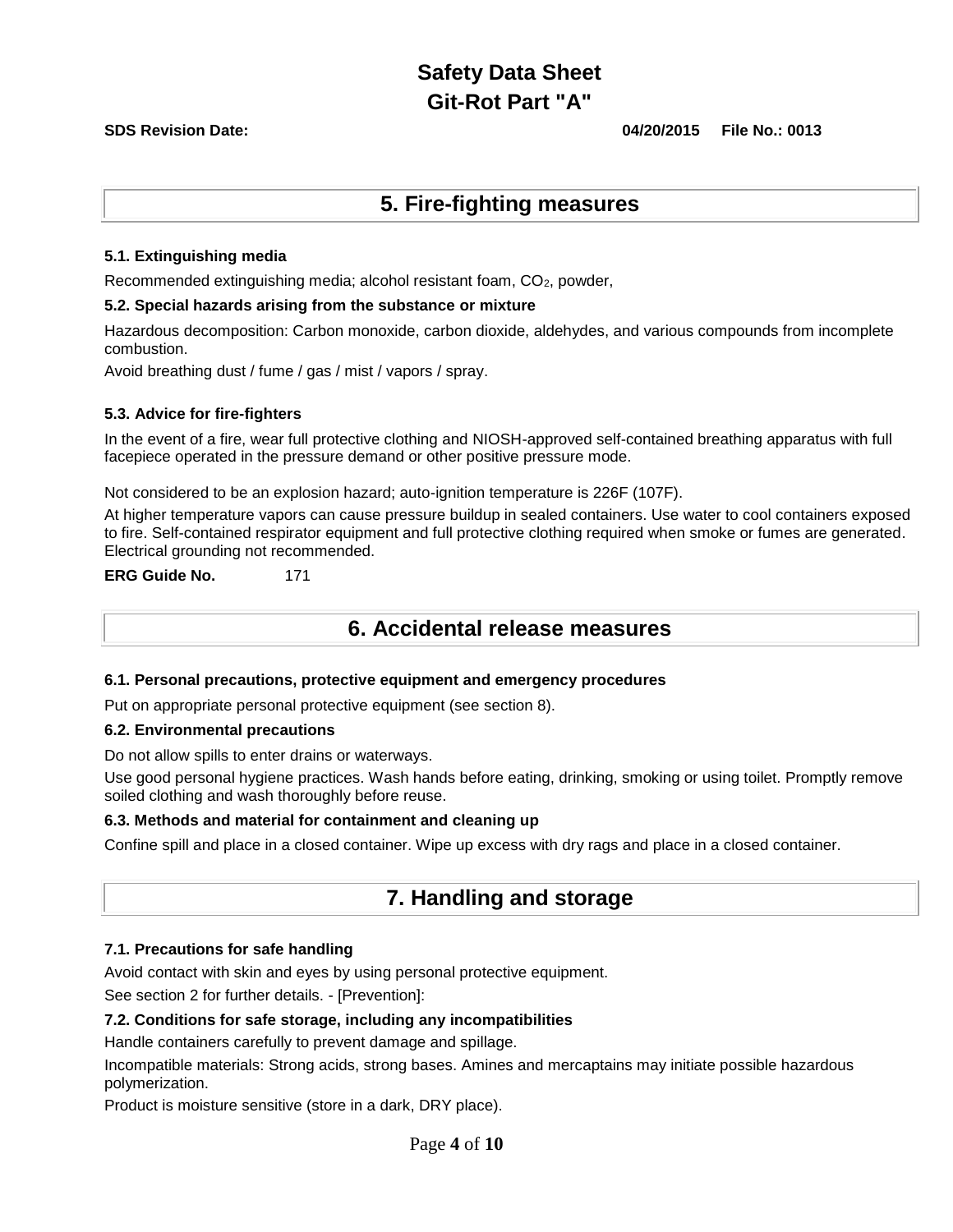**SDS Revision Date: 04/20/2015 File No.: 0013**

## **5. Fire-fighting measures**

#### **5.1. Extinguishing media**

Recommended extinguishing media; alcohol resistant foam,  $CO<sub>2</sub>$ , powder,

#### **5.2. Special hazards arising from the substance or mixture**

Hazardous decomposition: Carbon monoxide, carbon dioxide, aldehydes, and various compounds from incomplete combustion.

Avoid breathing dust / fume / gas / mist / vapors / spray.

#### **5.3. Advice for fire-fighters**

In the event of a fire, wear full protective clothing and NIOSH-approved self-contained breathing apparatus with full facepiece operated in the pressure demand or other positive pressure mode.

Not considered to be an explosion hazard; auto-ignition temperature is 226F (107F).

At higher temperature vapors can cause pressure buildup in sealed containers. Use water to cool containers exposed to fire. Self-contained respirator equipment and full protective clothing required when smoke or fumes are generated. Electrical grounding not recommended.

**ERG Guide No.** 171

## **6. Accidental release measures**

#### **6.1. Personal precautions, protective equipment and emergency procedures**

Put on appropriate personal protective equipment (see section 8).

#### **6.2. Environmental precautions**

Do not allow spills to enter drains or waterways.

Use good personal hygiene practices. Wash hands before eating, drinking, smoking or using toilet. Promptly remove soiled clothing and wash thoroughly before reuse.

#### **6.3. Methods and material for containment and cleaning up**

Confine spill and place in a closed container. Wipe up excess with dry rags and place in a closed container.

## **7. Handling and storage**

### **7.1. Precautions for safe handling**

Avoid contact with skin and eyes by using personal protective equipment.

See section 2 for further details. - [Prevention]:

### **7.2. Conditions for safe storage, including any incompatibilities**

Handle containers carefully to prevent damage and spillage.

Incompatible materials: Strong acids, strong bases. Amines and mercaptains may initiate possible hazardous polymerization.

Product is moisture sensitive (store in a dark, DRY place).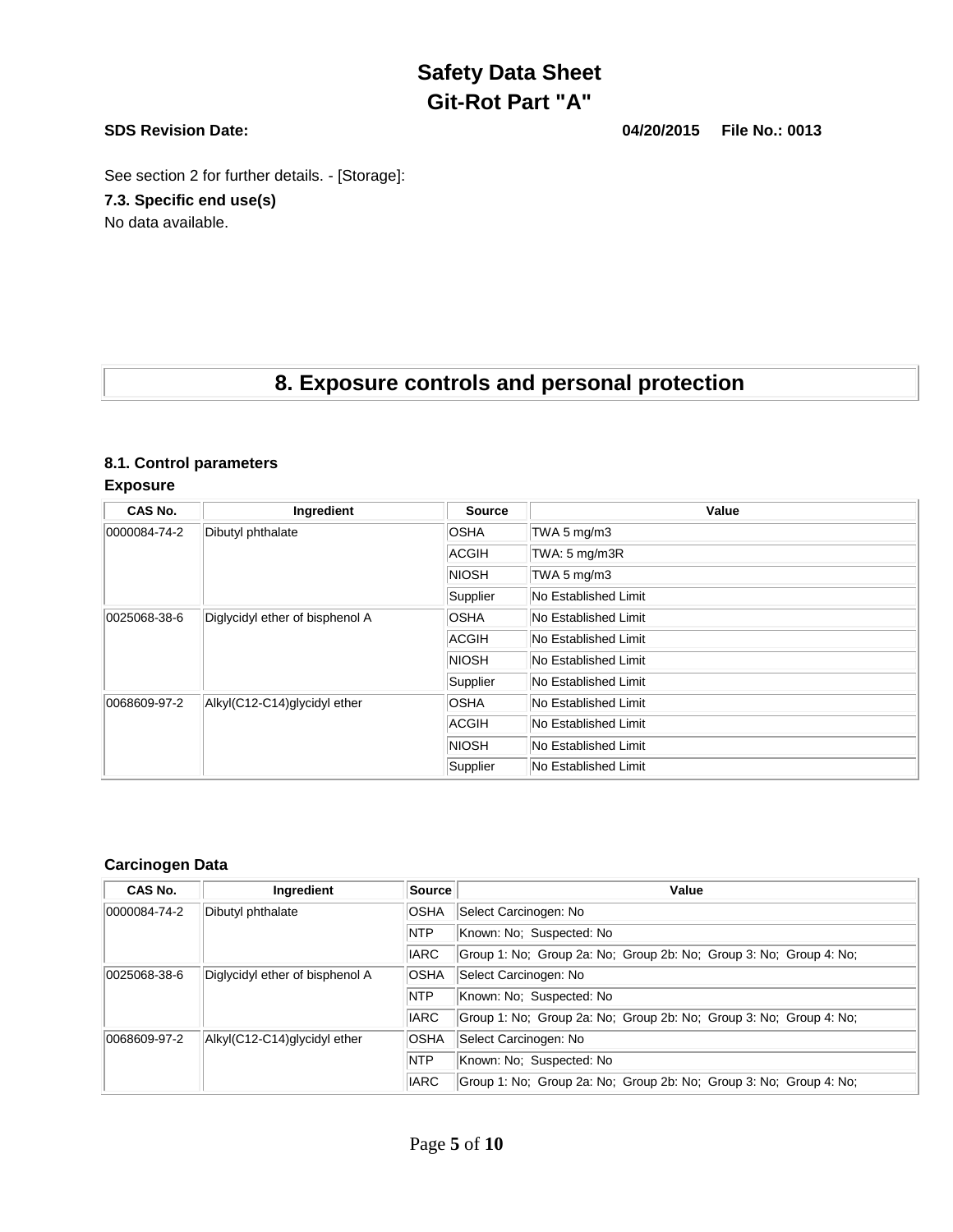**SDS Revision Date: 04/20/2015 File No.: 0013**

See section 2 for further details. - [Storage]:

**7.3. Specific end use(s)**

No data available.

## **8. Exposure controls and personal protection**

### **8.1. Control parameters**

**Exposure** 

| CAS No.      | Ingredient                      | <b>Source</b>        | Value                |
|--------------|---------------------------------|----------------------|----------------------|
| 0000084-74-2 | Dibutyl phthalate               | <b>OSHA</b>          | TWA 5 mg/m3          |
|              |                                 | ACGIH                | TWA: 5 mg/m3R        |
|              |                                 | <b>NIOSH</b>         | TWA 5 mg/m3          |
|              |                                 | Supplier             | No Established Limit |
| 0025068-38-6 | Diglycidyl ether of bisphenol A | <b>OSHA</b>          | No Established Limit |
|              | ACGIH                           | No Established Limit |                      |
|              |                                 | <b>NIOSH</b>         | No Established Limit |
|              |                                 | Supplier             | No Established Limit |
| 0068609-97-2 | Alkyl(C12-C14)glycidyl ether    | <b>OSHA</b>          | No Established Limit |
|              |                                 | ACGIH                | No Established Limit |
|              |                                 | <b>NIOSH</b>         | No Established Limit |
|              |                                 | Supplier             | No Established Limit |

### **Carcinogen Data**

| CAS No.              | Ingredient                      | Source      | Value                                                              |
|----------------------|---------------------------------|-------------|--------------------------------------------------------------------|
| $ 0000084 - 74 - 2 $ | Dibutyl phthalate               | <b>OSHA</b> | Select Carcinogen: No                                              |
|                      |                                 | <b>NTP</b>  | Known: No: Suspected: No                                           |
|                      |                                 | <b>IARC</b> | Group 1: No; Group 2a: No; Group 2b: No; Group 3: No; Group 4: No; |
| 0025068-38-6         | Diglycidyl ether of bisphenol A | <b>OSHA</b> | Select Carcinogen: No                                              |
|                      |                                 | <b>NTP</b>  | Known: No; Suspected: No                                           |
|                      |                                 | <b>IARC</b> | Group 1: No; Group 2a: No; Group 2b: No; Group 3: No; Group 4: No; |
| 0068609-97-2         | Alkyl(C12-C14)glycidyl ether    | <b>OSHA</b> | Select Carcinogen: No                                              |
|                      |                                 | <b>NTP</b>  | Known: No; Suspected: No                                           |
|                      |                                 | <b>IARC</b> | Group 1: No; Group 2a: No; Group 2b: No; Group 3: No; Group 4: No; |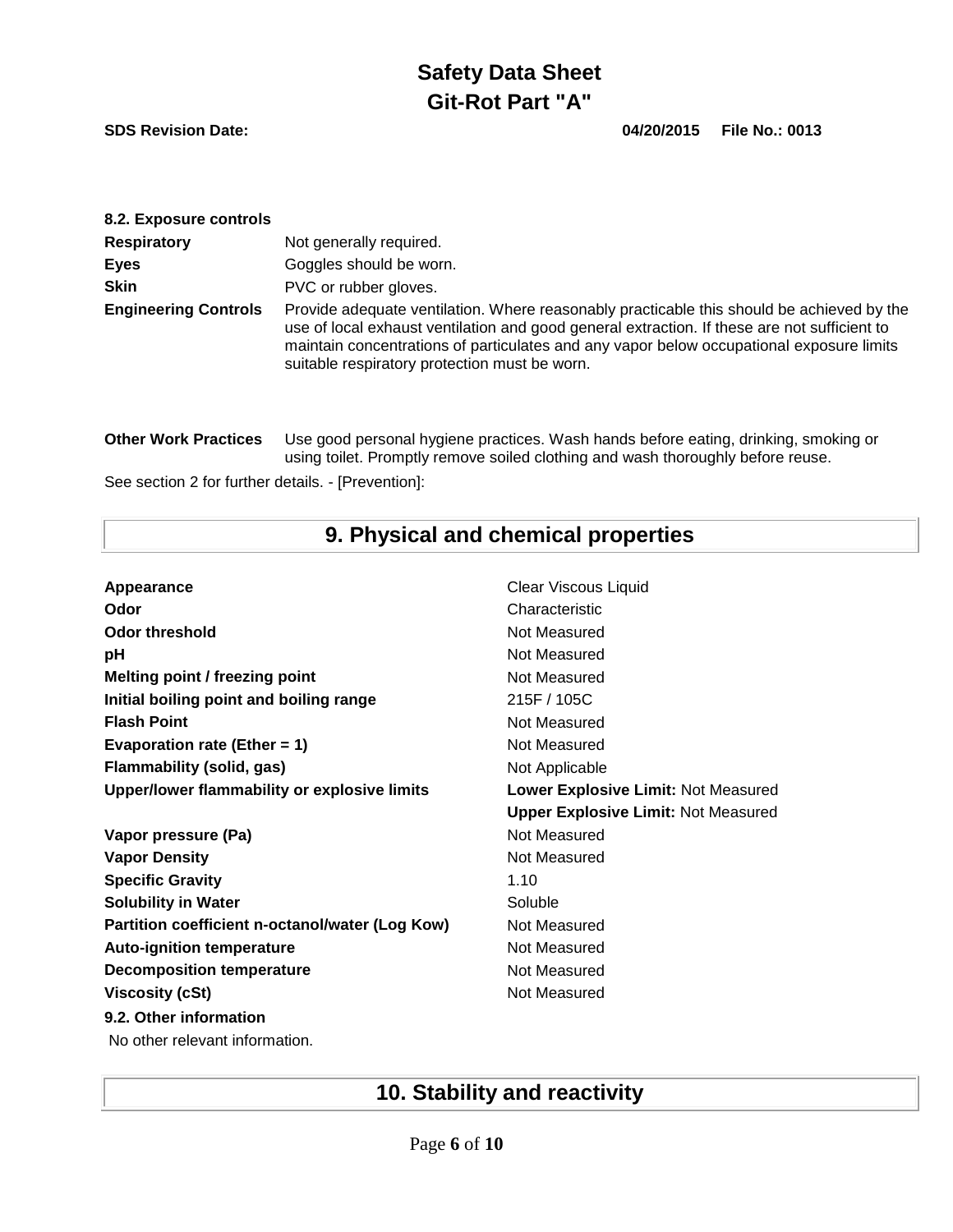**SDS Revision Date: 04/20/2015 File No.: 0013**

| 8.2. Exposure controls      |                                                                                                                                                                                                                                                                                                                                        |
|-----------------------------|----------------------------------------------------------------------------------------------------------------------------------------------------------------------------------------------------------------------------------------------------------------------------------------------------------------------------------------|
| <b>Respiratory</b>          | Not generally required.                                                                                                                                                                                                                                                                                                                |
| <b>Eyes</b>                 | Goggles should be worn.                                                                                                                                                                                                                                                                                                                |
| <b>Skin</b>                 | PVC or rubber gloves.                                                                                                                                                                                                                                                                                                                  |
| <b>Engineering Controls</b> | Provide adequate ventilation. Where reasonably practicable this should be achieved by the<br>use of local exhaust ventilation and good general extraction. If these are not sufficient to<br>maintain concentrations of particulates and any vapor below occupational exposure limits<br>suitable respiratory protection must be worn. |
| <b>Other Work Practices</b> | Use good personal hygiene practices. Wash hands before eating, drinking, smoking or<br>using toilet. Promptly remove soiled clothing and wash thoroughly before reuse.                                                                                                                                                                 |

See section 2 for further details. - [Prevention]:

# **9. Physical and chemical properties**

| Appearance                                      | <b>Clear Viscous Liquid</b>                |
|-------------------------------------------------|--------------------------------------------|
| Odor                                            | Characteristic                             |
| <b>Odor threshold</b>                           | Not Measured                               |
| рH                                              | Not Measured                               |
| Melting point / freezing point                  | Not Measured                               |
| Initial boiling point and boiling range         | 215F / 105C                                |
| <b>Flash Point</b>                              | Not Measured                               |
| Evaporation rate (Ether = $1$ )                 | Not Measured                               |
| <b>Flammability (solid, gas)</b>                | Not Applicable                             |
| Upper/lower flammability or explosive limits    | Lower Explosive Limit: Not Measured        |
|                                                 | <b>Upper Explosive Limit: Not Measured</b> |
| Vapor pressure (Pa)                             | Not Measured                               |
| <b>Vapor Density</b>                            | Not Measured                               |
| <b>Specific Gravity</b>                         | 1.10                                       |
| <b>Solubility in Water</b>                      | Soluble                                    |
| Partition coefficient n-octanol/water (Log Kow) | Not Measured                               |
| <b>Auto-ignition temperature</b>                | Not Measured                               |
| <b>Decomposition temperature</b>                | Not Measured                               |
| <b>Viscosity (cSt)</b>                          | Not Measured                               |
| 9.2. Other information                          |                                            |
| No other relevant information.                  |                                            |

# **10. Stability and reactivity**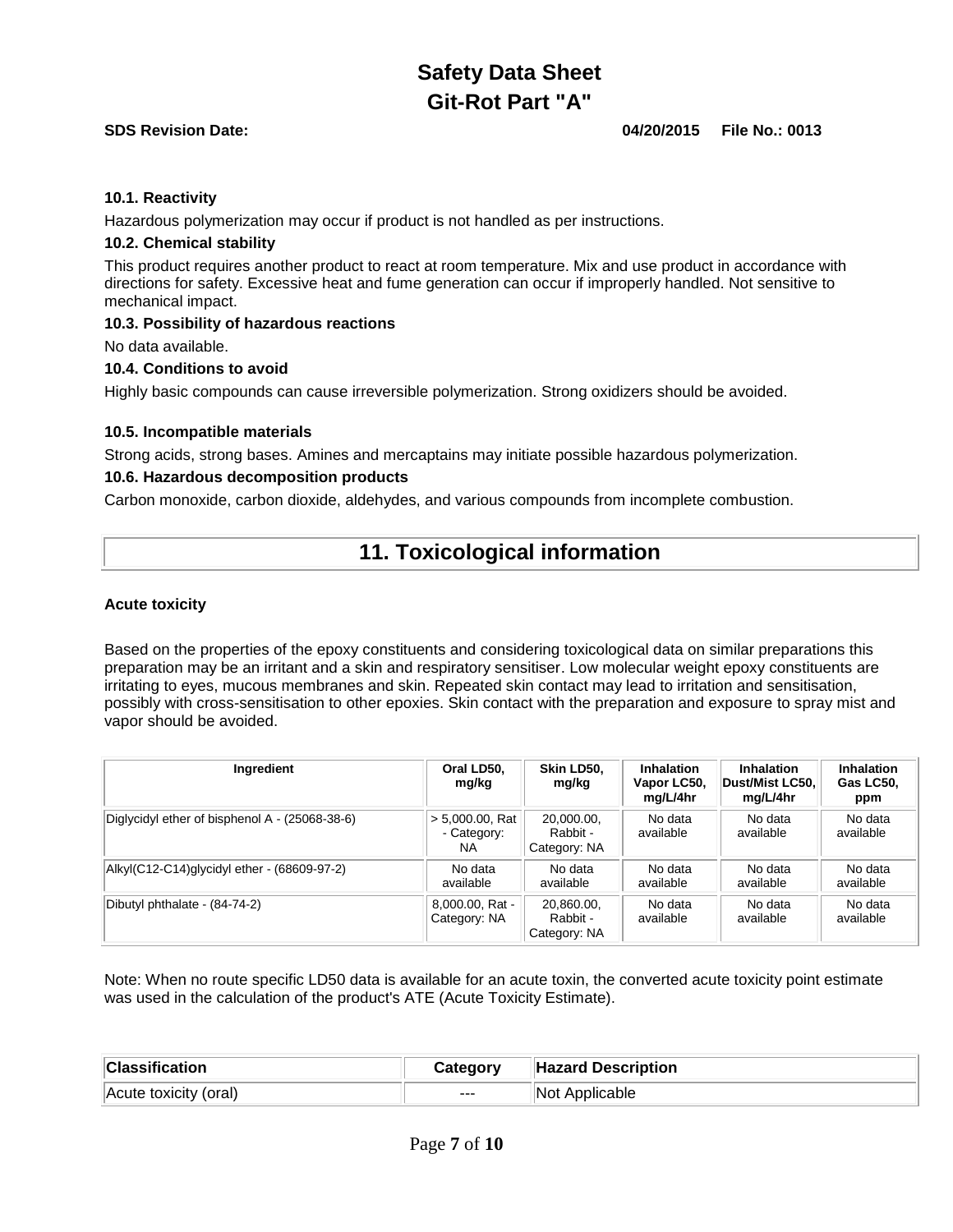#### **SDS Revision Date: 04/20/2015 File No.: 0013**

#### **10.1. Reactivity**

Hazardous polymerization may occur if product is not handled as per instructions.

#### **10.2. Chemical stability**

This product requires another product to react at room temperature. Mix and use product in accordance with directions for safety. Excessive heat and fume generation can occur if improperly handled. Not sensitive to mechanical impact.

#### **10.3. Possibility of hazardous reactions**

No data available.

#### **10.4. Conditions to avoid**

Highly basic compounds can cause irreversible polymerization. Strong oxidizers should be avoided.

#### **10.5. Incompatible materials**

Strong acids, strong bases. Amines and mercaptains may initiate possible hazardous polymerization.

#### **10.6. Hazardous decomposition products**

Carbon monoxide, carbon dioxide, aldehydes, and various compounds from incomplete combustion.

## **11. Toxicological information**

#### **Acute toxicity**

Based on the properties of the epoxy constituents and considering toxicological data on similar preparations this preparation may be an irritant and a skin and respiratory sensitiser. Low molecular weight epoxy constituents are irritating to eyes, mucous membranes and skin. Repeated skin contact may lead to irritation and sensitisation, possibly with cross-sensitisation to other epoxies. Skin contact with the preparation and exposure to spray mist and vapor should be avoided.

| Ingredient                                     | Oral LD50.<br>mg/kg                      | Skin LD50.<br>mg/kg                    | <b>Inhalation</b><br>Vapor LC50,<br>mg/L/4hr | <b>Inhalation</b><br>Dust/Mist LC50.<br>mg/L/4hr | <b>Inhalation</b><br>Gas LC50,<br>ppm |
|------------------------------------------------|------------------------------------------|----------------------------------------|----------------------------------------------|--------------------------------------------------|---------------------------------------|
| Diglycidyl ether of bisphenol A - (25068-38-6) | $> 5,000.00$ , Rat<br>- Category:<br>NA. | 20.000.00.<br>Rabbit -<br>Category: NA | No data<br>available                         | No data<br>available                             | No data<br>available                  |
| Alkyl(C12-C14)glycidyl ether - (68609-97-2)    | No data<br>available                     | No data<br>available                   | No data<br>available                         | No data<br>available                             | No data<br>available                  |
| Dibutyl phthalate - (84-74-2)                  | 8,000.00, Rat -<br>Category: NA          | 20.860.00.<br>Rabbit -<br>Category: NA | No data<br>available                         | No data<br>available                             | No data<br>available                  |

Note: When no route specific LD50 data is available for an acute toxin, the converted acute toxicity point estimate was used in the calculation of the product's ATE (Acute Toxicity Estimate).

| <b>Classification</b> | Category | <b>Hazard Description</b> |
|-----------------------|----------|---------------------------|
| Acute toxicity (oral) | $---$    | Not Applicable            |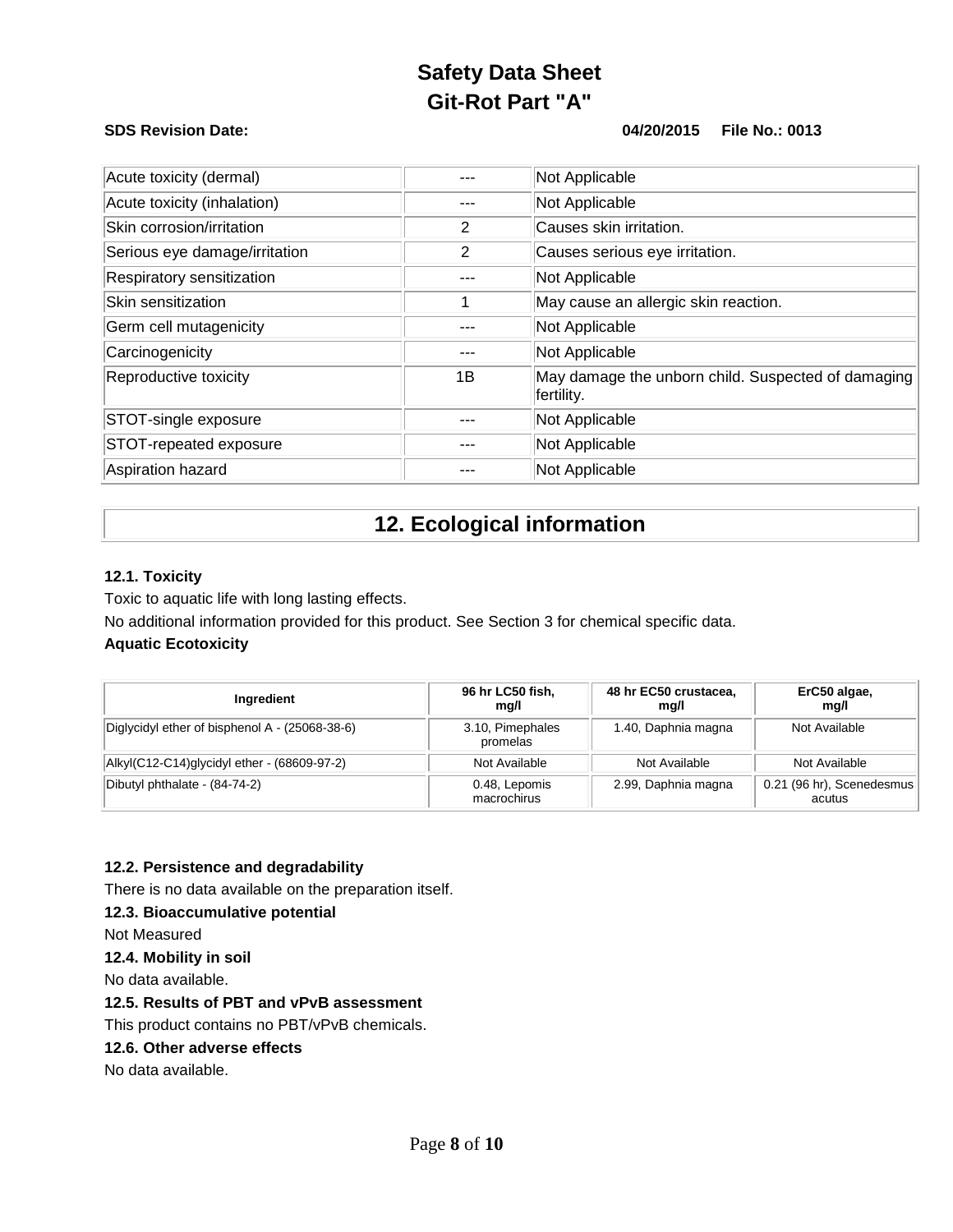### **SDS Revision Date: 04/20/2015 File No.: 0013**

| Acute toxicity (dermal)       |     | Not Applicable                                                   |
|-------------------------------|-----|------------------------------------------------------------------|
| Acute toxicity (inhalation)   |     | Not Applicable                                                   |
| Skin corrosion/irritation     | 2   | Causes skin irritation.                                          |
| Serious eye damage/irritation | 2   | Causes serious eye irritation.                                   |
| Respiratory sensitization     |     | Not Applicable                                                   |
| Skin sensitization            |     | May cause an allergic skin reaction.                             |
| Germ cell mutagenicity        |     | Not Applicable                                                   |
| Carcinogenicity               | --- | Not Applicable                                                   |
| Reproductive toxicity         | 1Β  | May damage the unborn child. Suspected of damaging<br>fertility. |
| STOT-single exposure          |     | Not Applicable                                                   |
| STOT-repeated exposure        |     | Not Applicable                                                   |
| Aspiration hazard             |     | Not Applicable                                                   |

## **12. Ecological information**

#### **12.1. Toxicity**

Toxic to aquatic life with long lasting effects.

No additional information provided for this product. See Section 3 for chemical specific data.

### **Aquatic Ecotoxicity**

| Ingredient                                     | 96 hr LC50 fish,<br>mg/l     | 48 hr EC50 crustacea,<br>mg/l | ErC50 algae,<br>mg/l                |
|------------------------------------------------|------------------------------|-------------------------------|-------------------------------------|
| Diglycidyl ether of bisphenol A - (25068-38-6) | 3.10, Pimephales<br>promelas | 1.40, Daphnia magna           | Not Available                       |
| Alkyl(C12-C14)glycidyl ether - (68609-97-2)    | Not Available                | Not Available                 | Not Available                       |
| Dibutyl phthalate - (84-74-2)                  | 0.48, Lepomis<br>macrochirus | 2.99, Daphnia magna           | 0.21 (96 hr), Scenedesmus<br>acutus |

### **12.2. Persistence and degradability**

There is no data available on the preparation itself.

#### **12.3. Bioaccumulative potential**

Not Measured

#### **12.4. Mobility in soil**

No data available.

### **12.5. Results of PBT and vPvB assessment**

This product contains no PBT/vPvB chemicals.

### **12.6. Other adverse effects**

No data available.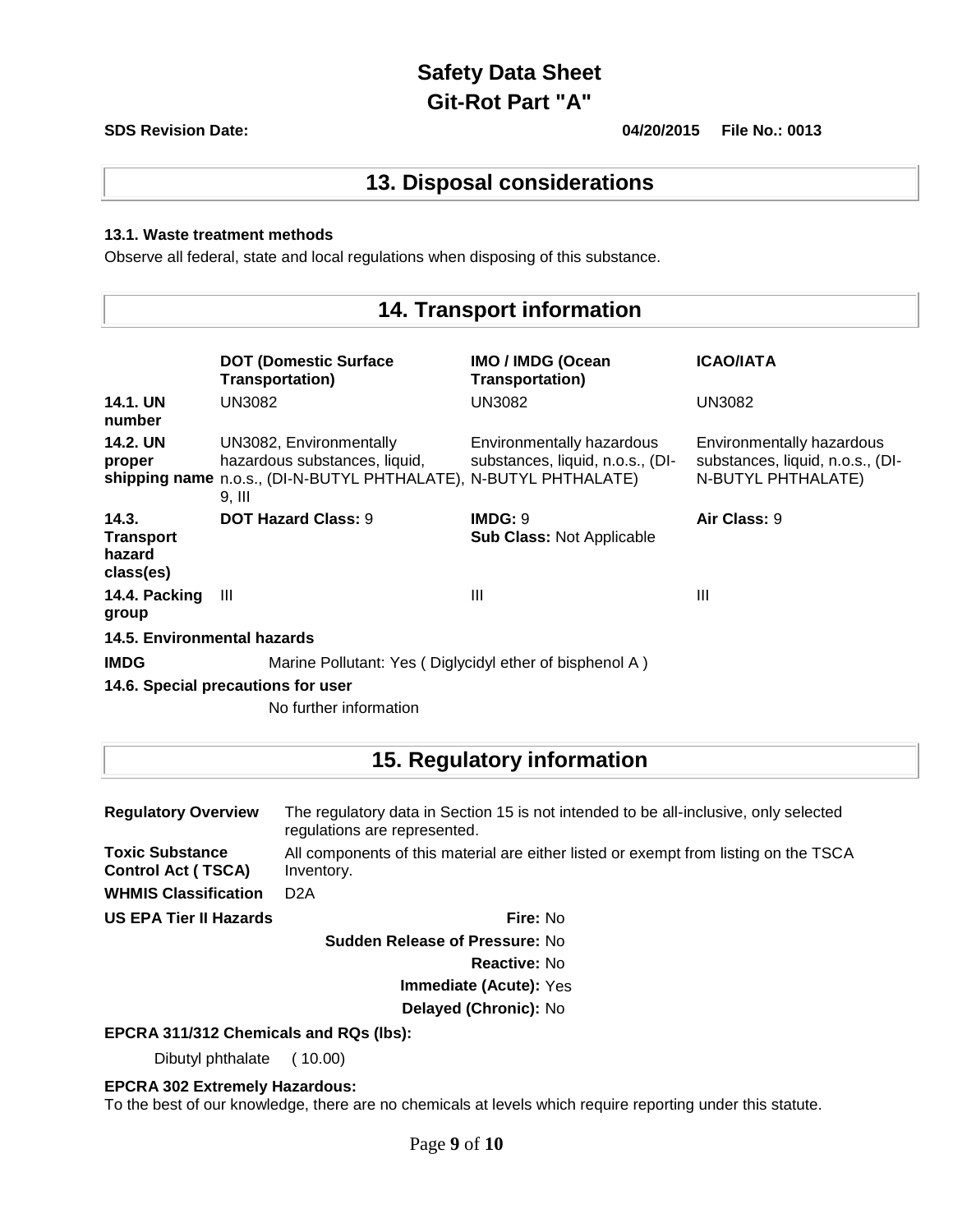#### **SDS Revision Date: 04/20/2015 File No.: 0013**

## **13. Disposal considerations**

#### **13.1. Waste treatment methods**

Observe all federal, state and local regulations when disposing of this substance.

## **14. Transport information**

|                                                  | <b>DOT (Domestic Surface)</b><br><b>Transportation)</b>                                                                                | <b>IMO / IMDG (Ocean</b><br><b>Transportation)</b>            | <b>ICAO/IATA</b>                                                                    |  |  |
|--------------------------------------------------|----------------------------------------------------------------------------------------------------------------------------------------|---------------------------------------------------------------|-------------------------------------------------------------------------------------|--|--|
| <b>14.1. UN</b><br>number                        | UN3082                                                                                                                                 | UN3082                                                        | UN3082                                                                              |  |  |
| <b>14.2. UN</b><br>proper                        | UN3082, Environmentally<br>hazardous substances, liquid,<br>shipping name n.o.s., (DI-N-BUTYL PHTHALATE), N-BUTYL PHTHALATE)<br>9. III | Environmentally hazardous<br>substances, liquid, n.o.s., (DI- | Environmentally hazardous<br>substances, liquid, n.o.s., (DI-<br>N-BUTYL PHTHALATE) |  |  |
| 14.3.<br><b>Transport</b><br>hazard<br>class(es) | <b>DOT Hazard Class: 9</b>                                                                                                             | IMDG: 9<br><b>Sub Class: Not Applicable</b>                   | Air Class: 9                                                                        |  |  |
| 14.4. Packing<br>group                           | Ш                                                                                                                                      | $\mathbf{III}$                                                | Ш                                                                                   |  |  |
| 14.5. Environmental hazards                      |                                                                                                                                        |                                                               |                                                                                     |  |  |
| <b>IMDG</b>                                      | Marine Pollutant: Yes (Diglycidyl ether of bisphenol A)                                                                                |                                                               |                                                                                     |  |  |
| 14.6. Special precautions for user               |                                                                                                                                        |                                                               |                                                                                     |  |  |

No further information

# **15. Regulatory information**

| <b>Regulatory Overview</b>                          | The regulatory data in Section 15 is not intended to be all-inclusive, only selected<br>regulations are represented. |  |  |
|-----------------------------------------------------|----------------------------------------------------------------------------------------------------------------------|--|--|
| <b>Toxic Substance</b><br><b>Control Act (TSCA)</b> | All components of this material are either listed or exempt from listing on the TSCA<br>Inventory.                   |  |  |
| <b>WHMIS Classification</b>                         | D <sub>2</sub> A                                                                                                     |  |  |
| <b>US EPA Tier II Hazards</b>                       | Fire: No                                                                                                             |  |  |

**Sudden Release of Pressure:** No

**Reactive:** No

**Immediate (Acute):** Yes

**Delayed (Chronic):** No

#### **EPCRA 311/312 Chemicals and RQs (lbs):**

Dibutyl phthalate ( 10.00)

**EPCRA 302 Extremely Hazardous:**

To the best of our knowledge, there are no chemicals at levels which require reporting under this statute.